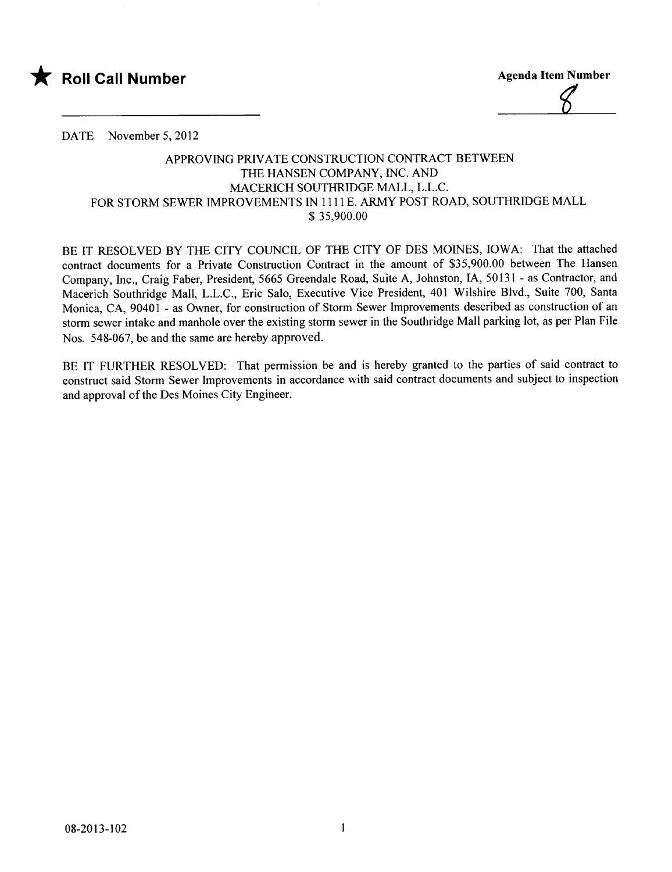

 $\mathscr{C}$ 

DATE November 5, 2012

## APPROVING PRIVATE CONSTRUCTION CONTRACT BETWEEN THE HANSEN COMPANY, INC. AND MACERICH SOUTHRIDGE MALL, L.L.C. FOR STORM SEWER IMPROVEMENTS IN 1111 E. ARMY POST ROAD, SOUTHRIDGE MALL \$ 35,900.00

BE IT RESOLVED BY THE CITY COUNCIL OF THE CITY OF DES MOINES, IOWA: That the attached contract documents for a Private Construction Contract in the amount of \$35,900.00 between The Hansen Company, Inc., Craig Faber, President, 5665 Greendale Road, Suite A, Johnston, lA, 50131 - as Contractor, and Macerich Southridge Mall, L.L.C., Eric Salo, Executive Vice President, 401 Wilshire Blvd., Suite 700, Santa Monica, CA, 90401 - as Owner, for construction of Storm Sewer Improvements described as construction of an storm sewer intake and manhole over the existing storm sewer in the Southridge Mall parking lot, as per Plan File Nos. 548-067, be and the same are hereby approved.

BE IT FURTHER RESOLVED: That permission be and is hereby granted to the parties of said contract to construct said Storm Sewer Improvements in accordance with said contract documents and subject to inspection and approval of the Des Moines City Engineer.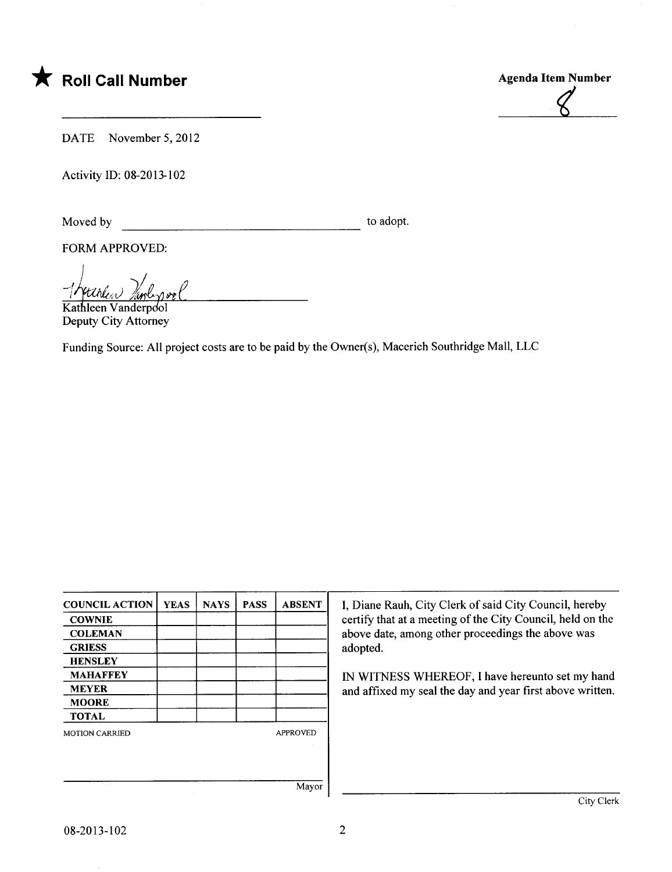\* Roll Call Number Agenda Item Number



DATE November 5, 2012

Activity ID: 08-2013-102

Moved by to adopt.

FORM APPROVED:

Moved by<br>
FORM APPROVED:<br> *I rettiled landerpool* 

Deputy City Attorney

Funding Source: All project costs are to be paid by the Owner(s), Macerich Southridge Mall, LLC

| <b>COUNCIL ACTION</b> | <b>YEAS</b> | <b>NAYS</b> | <b>PASS</b> | <b>ABSENT</b>   | I, Diane Rauh, City Clerk of said City Council, hereby     |  |  |
|-----------------------|-------------|-------------|-------------|-----------------|------------------------------------------------------------|--|--|
| <b>COWNIE</b>         |             |             |             |                 | certify that at a meeting of the City Council, held on the |  |  |
| <b>COLEMAN</b>        |             |             |             |                 | above date, among other proceedings the above was          |  |  |
| <b>GRIESS</b>         |             |             |             |                 | adopted.                                                   |  |  |
| <b>HENSLEY</b>        |             |             |             |                 | IN WITNESS WHEREOF, I have hereunto set my hand            |  |  |
| <b>MAHAFFEY</b>       |             |             |             |                 |                                                            |  |  |
| <b>MEYER</b>          |             |             |             |                 | and affixed my seal the day and year first above written.  |  |  |
| <b>MOORE</b>          |             |             |             |                 |                                                            |  |  |
| <b>TOTAL</b>          |             |             |             |                 |                                                            |  |  |
| <b>MOTION CARRIED</b> |             |             |             | <b>APPROVED</b> |                                                            |  |  |
|                       |             |             |             |                 |                                                            |  |  |
|                       |             |             |             |                 |                                                            |  |  |
|                       |             |             |             |                 |                                                            |  |  |
|                       |             |             |             | Mayor           |                                                            |  |  |
|                       |             |             |             |                 | City Clerk                                                 |  |  |